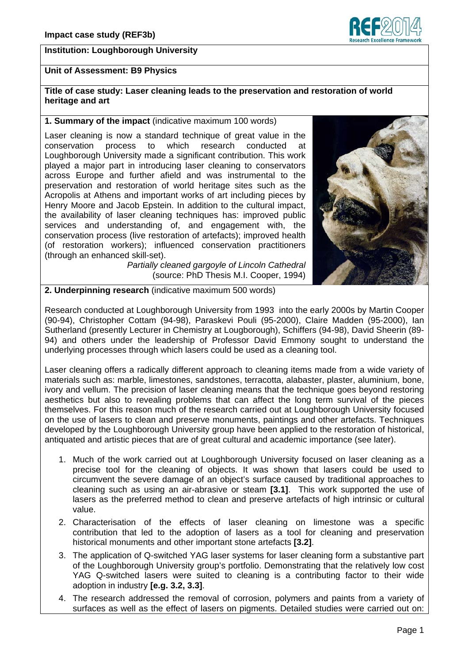## **Institution: Loughborough University**

# **Isearch Excellence Framer**

## **Unit of Assessment: B9 Physics**

## **Title of case study: Laser cleaning leads to the preservation and restoration of world heritage and art**

#### **1. Summary of the impact** (indicative maximum 100 words)

Laser cleaning is now a standard technique of great value in the conservation process to which research conducted at Loughborough University made a significant contribution. This work played a major part in introducing laser cleaning to conservators across Europe and further afield and was instrumental to the preservation and restoration of world heritage sites such as the Acropolis at Athens and important works of art including pieces by Henry Moore and Jacob Epstein. In addition to the cultural impact, the availability of laser cleaning techniques has: improved public services and understanding of, and engagement with, the conservation process (live restoration of artefacts); improved health (of restoration workers); influenced conservation practitioners (through an enhanced skill-set).

*Partially cleaned gargoyle of Lincoln Cathedral*  (source: PhD Thesis M.I. Cooper, 1994)



## **2. Underpinning research** (indicative maximum 500 words)

Research conducted at Loughborough University from 1993 into the early 2000s by Martin Cooper (90-94), Christopher Cottam (94-98), Paraskevi Pouli (95-2000), Claire Madden (95-2000), Ian Sutherland (presently Lecturer in Chemistry at Lougborough), Schiffers (94-98), David Sheerin (89- 94) and others under the leadership of Professor David Emmony sought to understand the underlying processes through which lasers could be used as a cleaning tool.

Laser cleaning offers a radically different approach to cleaning items made from a wide variety of materials such as: marble, limestones, sandstones, terracotta, alabaster, plaster, aluminium, bone, ivory and vellum. The precision of laser cleaning means that the technique goes beyond restoring aesthetics but also to revealing problems that can affect the long term survival of the pieces themselves. For this reason much of the research carried out at Loughborough University focused on the use of lasers to clean and preserve monuments, paintings and other artefacts. Techniques developed by the Loughborough University group have been applied to the restoration of historical, antiquated and artistic pieces that are of great cultural and academic importance (see later).

- 1. Much of the work carried out at Loughborough University focused on laser cleaning as a precise tool for the cleaning of objects. It was shown that lasers could be used to circumvent the severe damage of an object's surface caused by traditional approaches to cleaning such as using an air-abrasive or steam **[3.1]**. This work supported the use of lasers as the preferred method to clean and preserve artefacts of high intrinsic or cultural value.
- 2. Characterisation of the effects of laser cleaning on limestone was a specific contribution that led to the adoption of lasers as a tool for cleaning and preservation historical monuments and other important stone artefacts **[3.2]**.
- 3. The application of Q-switched YAG laser systems for laser cleaning form a substantive part of the Loughborough University group's portfolio. Demonstrating that the relatively low cost YAG Q-switched lasers were suited to cleaning is a contributing factor to their wide adoption in industry **[e.g. 3.2, 3.3]**.
- 4. The research addressed the removal of corrosion, polymers and paints from a variety of surfaces as well as the effect of lasers on pigments. Detailed studies were carried out on: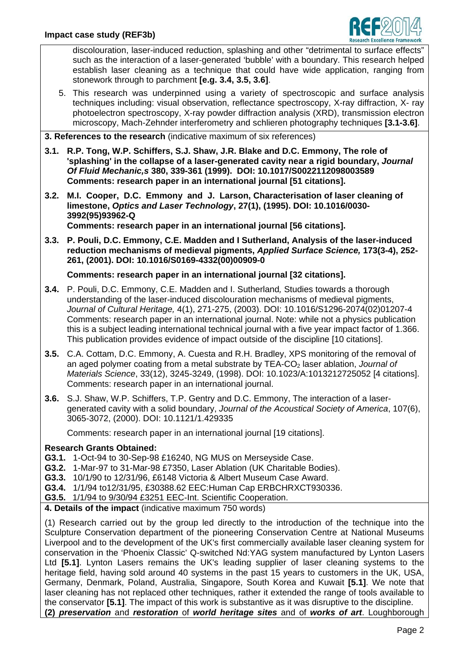

discolouration, laser-induced reduction, splashing and other "detrimental to surface effects" such as the interaction of a laser-generated 'bubble' with a boundary. This research helped establish laser cleaning as a technique that could have wide application, ranging from stonework through to parchment **[e.g. 3.4, 3.5, 3.6]**.

5. This research was underpinned using a variety of spectroscopic and surface analysis techniques including: visual observation, reflectance spectroscopy, X-ray diffraction, X- ray photoelectron spectroscopy, X-ray powder diffraction analysis (XRD), transmission electron microscopy, Mach-Zehnder interferometry and schlieren photography techniques **[3.1-3.6]**.

**3. References to the research** (indicative maximum of six references)

- **3.1. R.P. Tong, W.P. Schiffers, S.J. Shaw, J.R. Blake and D.C. Emmony, The role of 'splashing' in the collapse of a laser-generated cavity near a rigid boundary,** *Journal Of Fluid Mechanic,s* **380, 339-361 (1999). DOI: 10.1017/S0022112098003589 Comments: research paper in an international journal [51 citations].**
- **3.2. M.I. Cooper, D.C. Emmony and J. Larson, Characterisation of laser cleaning of limestone,** *Optics and Laser Technology***, 27(1), (1995). DOI: 10.1016/0030- 3992(95)93962-Q**

**Comments: research paper in an international journal [56 citations].** 

**3.3. P. Pouli, D.C. Emmony, C.E. Madden and I Sutherland, Analysis of the laser-induced reduction mechanisms of medieval pigments,** *Applied Surface Science,* **173(3-4), 252- 261, (2001). DOI: 10.1016/S0169-4332(00)00909-0** 

**Comments: research paper in an international journal [32 citations].** 

- **3.4.** P. Pouli, D.C. Emmony, C.E. Madden and I. Sutherland*,* Studies towards a thorough understanding of the laser-induced discolouration mechanisms of medieval pigments, *Journal of Cultural Heritage,* 4(1), 271-275, (2003). DOI: 10.1016/S1296-2074(02)01207-4 Comments: research paper in an international journal. Note: while not a physics publication this is a subject leading international technical journal with a five year impact factor of 1.366. This publication provides evidence of impact outside of the discipline [10 citations].
- **3.5.** C.A. Cottam, D.C. Emmony, A. Cuesta and R.H. Bradley, XPS monitoring of the removal of an aged polymer coating from a metal substrate by TEA-CO<sub>2</sub> laser ablation, *Journal of Materials Science*, 33(12), 3245-3249, (1998). DOI: 10.1023/A:1013212725052 [4 citations]. Comments: research paper in an international journal.
- **3.6.** S.J. Shaw, W.P. Schiffers, T.P. Gentry and D.C. Emmony, The interaction of a lasergenerated cavity with a solid boundary, *Journal of the Acoustical Society of America*, 107(6), 3065-3072, (2000). DOI: 10.1121/1.429335

Comments: research paper in an international journal [19 citations].

## **Research Grants Obtained:**

- **G3.1.** 1-Oct-94 to 30-Sep-98 £16240, NG MUS on Merseyside Case.
- **G3.2.** 1-Mar-97 to 31-Mar-98 £7350, Laser Ablation (UK Charitable Bodies).
- **G3.3.** 10/1/90 to 12/31/96, £6148 Victoria & Albert Museum Case Award.
- **G3.4.** 1/1/94 to12/31/95, £30388.62 EEC:Human Cap ERBCHRXCT930336.
- **G3.5.** 1/1/94 to 9/30/94 £3251 EEC-Int. Scientific Cooperation.
- **4. Details of the impact** (indicative maximum 750 words)

(1) Research carried out by the group led directly to the introduction of the technique into the Sculpture Conservation department of the pioneering Conservation Centre at National Museums Liverpool and to the development of the UK's first commercially available laser cleaning system for conservation in the 'Phoenix Classic' Q-switched Nd:YAG system manufactured by Lynton Lasers Ltd **[5.1]**. Lynton Lasers remains the UK's leading supplier of laser cleaning systems to the heritage field, having sold around 40 systems in the past 15 years to customers in the UK, USA, Germany, Denmark, Poland, Australia, Singapore, South Korea and Kuwait **[5.1]**. We note that laser cleaning has not replaced other techniques, rather it extended the range of tools available to the conservator **[5.1]**. The impact of this work is substantive as it was disruptive to the discipline. **(2)** *preservation* and *restoration* of *world heritage sites* and of *works of art*. Loughborough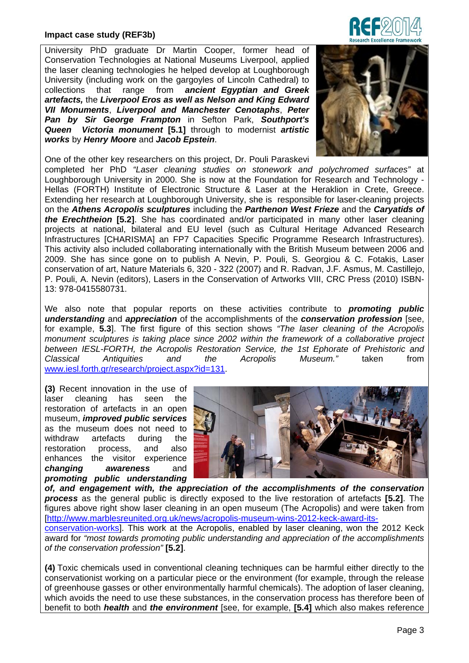University PhD graduate Dr Martin Cooper, former head of Conservation Technologies at National Museums Liverpool, applied the laser cleaning technologies he helped develop at Loughborough University (including work on the gargoyles of Lincoln Cathedral) to collections that range from *ancient Egyptian and Greek artefacts,* the *Liverpool Eros as well as Nelson and King Edward VII Monuments*, *Liverpool and Manchester Cenotaphs*, *Peter Pan by Sir George Frampton* in Sefton Park, *Southport's Queen Victoria monument* **[5.1]** through to modernist *artistic works* by *Henry Moore* and *Jacob Epstein*.



One of the other key researchers on this project, Dr. Pouli Paraskevi completed her PhD *"Laser cleaning studies on stonework and polychromed surfaces"* at Loughborough University in 2000. She is now at the Foundation for Research and Technology - Hellas (FORTH) Institute of Electronic Structure & Laser at the Heraklion in Crete, Greece. Extending her research at Loughborough University, she is responsible for laser-cleaning projects on the *Athens Acropolis sculptures* including the *Parthenon West Frieze* and the *Caryatids of the Erechtheion* **[5.2]**. She has coordinated and/or participated in many other laser cleaning projects at national, bilateral and EU level (such as Cultural Heritage Advanced Research Infrastructures [CHARISMA] an FP7 Capacities Specific Programme Research Infrastructures). This activity also included collaborating internationally with the British Museum between 2006 and 2009. She has since gone on to publish A Nevin, P. Pouli, S. Georgiou & C. Fotakis, Laser conservation of art, Nature Materials 6, 320 - 322 (2007) and R. Radvan, J.F. Asmus, M. Castillejo, P. Pouli, A. Nevin (editors), Lasers in the Conservation of Artworks VIII, CRC Press (2010) ISBN-13: 978-0415580731.

We also note that popular reports on these activities contribute to *promoting public understanding* and *appreciation* of the accomplishments of the *conservation profession* [see, for example, **5.3**]. The first figure of this section shows *"The laser cleaning of the Acropolis monument sculptures is taking place since 2002 within the framework of a collaborative project between IESL-FORTH, the Acropolis Restoration Service, the 1st Ephorate of Prehistoric and Classical Antiquities and the Acropolis Museum."* taken from www.iesl.forth.gr/research/project.aspx?id=131.

**(3)** Recent innovation in the use of laser cleaning has seen the restoration of artefacts in an open museum, *improved public services*  as the museum does not need to withdraw artefacts during the restoration process, and also enhances the visitor experience *changing awareness* and *promoting public understanding* 



*of, and engagement with, the appreciation of the accomplishments of the conservation process* as the general public is directly exposed to the live restoration of artefacts **[5.2]**. The figures above right show laser cleaning in an open museum (The Acropolis) and were taken from [http://www.marblesreunited.org.uk/news/acropolis-museum-wins-2012-keck-award-its-

conservation-works]. This work at the Acropolis, enabled by laser cleaning, won the 2012 Keck award for *"most towards promoting public understanding and appreciation of the accomplishments of the conservation profession"* **[5.2]**.

**(4)** Toxic chemicals used in conventional cleaning techniques can be harmful either directly to the conservationist working on a particular piece or the environment (for example, through the release of greenhouse gasses or other environmentally harmful chemicals). The adoption of laser cleaning, which avoids the need to use these substances, in the conservation process has therefore been of benefit to both *health* and *the environment* [see, for example, **[5.4]** which also makes reference